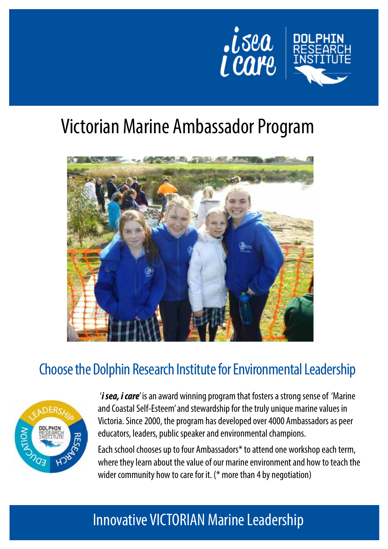



# Victorian Marine Ambassador Program



### Choose the Dolphin Research Institute for Environmental Leadership



'*i sea, i care*' is an award winning program that fosters a strong sense of 'Marine and Coastal Self-Esteem' and stewardship for the truly unique marine values in Victoria. Since 2000, the program has developed over 4000 Ambassadors as peer educators, leaders, public speaker and environmental champions.

Each school chooses up to four Ambassadors\* to attend one workshop each term, where they learn about the value of our marine environment and how to teach the wider community how to care for it. (\* more than 4 by negotiation)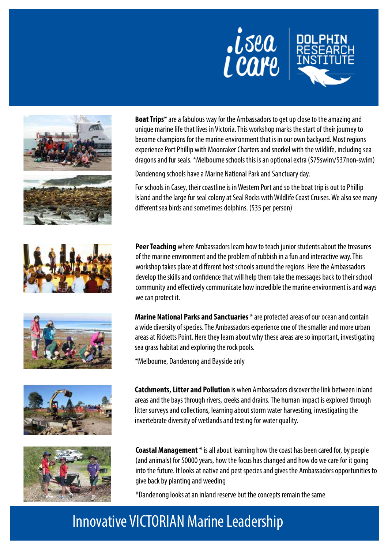













**Boat Trips**\* are a fabulous way for the Ambassadors to get up close to the amazing and unique marine life that lives in Victoria. This workshop marks the start of their journey to become champions for the marine environment that is in our own backyard. Most regions experience Port Phillip with Moonraker Charters and snorkel with the wildlife, including sea dragons and fur seals. \*Melbourne schools this is an optional extra (\$75swim/\$37non-swim)

Dandenong schools have a Marine National Park and Sanctuary day.

For schools in Casey, their coastline is in Western Port and so the boat trip is out to Phillip Island and the large fur seal colony at Seal Rocks with Wildlife Coast Cruises. We also see many different sea birds and sometimes dolphins. (\$35 per person)

**Peer Teaching** where Ambassadors learn how to teach junior students about the treasures of the marine environment and the problem of rubbish in a fun and interactive way. This workshop takes place at different host schools around the regions. Here the Ambassadors develop the skills and confidence that will help them take the messages back to their school community and effectively communicate how incredible the marine environment is and ways we can protect it.

**Marine National Parks and Sanctuaries** \* are protected areas of our ocean and contain a wide diversity of species. The Ambassadors experience one of the smaller and more urban areas at Ricketts Point. Here they learn about why these areas are so important, investigating sea grass habitat and exploring the rock pools.

\*Melbourne, Dandenong and Bayside only

**Catchments, Litter and Pollution** is when Ambassadors discover the link between inland areas and the bays through rivers, creeks and drains. The human impact is explored through litter surveys and collections, learning about storm water harvesting, investigating the invertebrate diversity of wetlands and testing for water quality.

**Coastal Management** \* is all about learning how the coast has been cared for, by people (and animals) for 50000 years, how the focus has changed and how do we care for it going into the future. It looks at native and pest species and gives the Ambassadors opportunities to give back by planting and weeding

\*Dandenong looks at an inland reserve but the concepts remain the same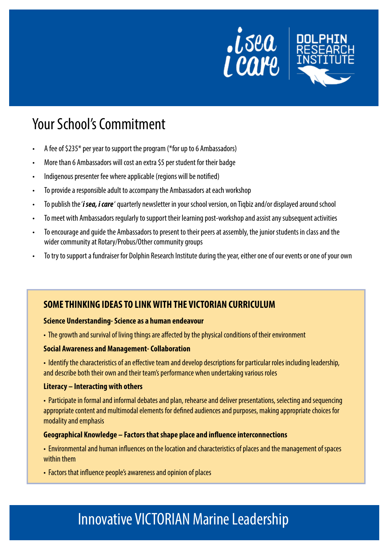

### Your School's Commitment

- A fee of  $$235*$  per year to support the program (\*for up to 6 Ambassadors)
- More than 6 Ambassadors will cost an extra \$5 per student for their badge
- Indigenous presenter fee where applicable (regions will be notified)
- To provide a responsible adult to accompany the Ambassadors at each workshop
- To publish the *'i sea, i care'* quarterly newsletter in your school version, on Tiqbiz and/or displayed around school
- To meet with Ambassadors regularly to support their learning post-workshop and assist any subsequent activities
- To encourage and guide the Ambassadors to present to their peers at assembly, the junior students in class and the wider community at Rotary/Probus/Other community groups
- To try to support a fundraiser for Dolphin Research Institute during the year, either one of our events or one of your own

### **SOME THINKING IDEAS TO LINK WITH THE VICTORIAN CURRICULUM**

#### **Science Understanding- Science as a human endeavour**

• The growth and survival of living things are affected by the physical conditions of their environment

#### **Social Awareness and Management- Collaboration**

• Identify the characteristics of an effective team and develop descriptions for particular roles including leadership, and describe both their own and their team's performance when undertaking various roles

#### **Literacy – Interacting with others**

• Participate in formal and informal debates and plan, rehearse and deliver presentations, selecting and sequencing appropriate content and multimodal elements for defined audiences and purposes, making appropriate choices for modality and emphasis

#### **Geographical Knowledge – Factors that shape place and influence interconnections**

• Environmental and human influences on the location and characteristics of places and the management of spaces within them

• Factors that influence people's awareness and opinion of places